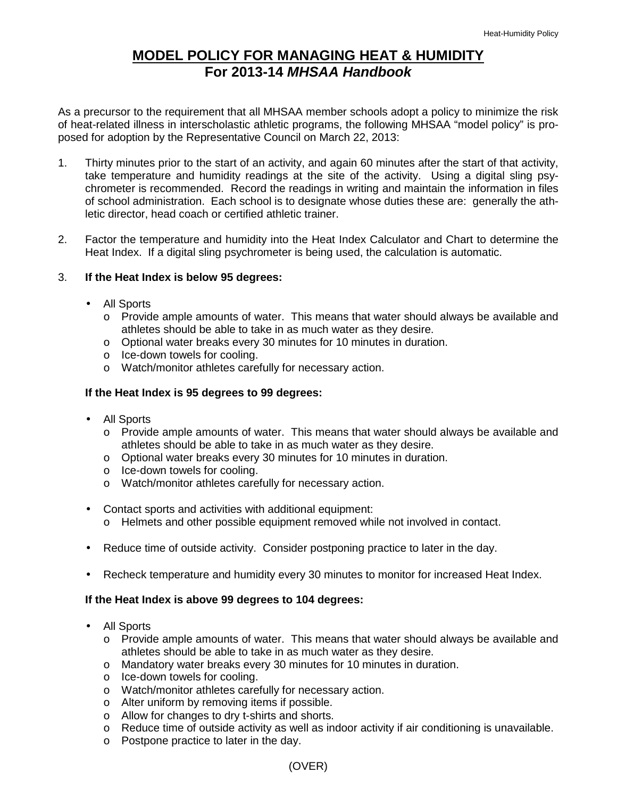# **MODEL POLICY FOR MANAGING HEAT & HUMIDITY For 2013-14** *MHSAA Handbook*

As a precursor to the requirement that all MHSAA member schools adopt a policy to minimize the risk of heat-related illness in interscholastic athletic programs, the following MHSAA "model policy" is proposed for adoption by the Representative Council on March 22, 2013:

- 1. Thirty minutes prior to the start of an activity, and again 60 minutes after the start of that activity, take temperature and humidity readings at the site of the activity. Using a digital sling psychrometer is recommended. Record the readings in writing and maintain the information in files of school administration. Each school is to designate whose duties these are: generally the athletic director, head coach or certified athletic trainer.
- 2. Factor the temperature and humidity into the Heat Index Calculator and Chart to determine the Heat Index. If a digital sling psychrometer is being used, the calculation is automatic.

### 3. **If the Heat Index is below 95 degrees:**

- All Sports
	- o Provide ample amounts of water. This means that water should always be available and athletes should be able to take in as much water as they desire.
	- o Optional water breaks every 30 minutes for 10 minutes in duration.
	- o Ice-down towels for cooling.
	- o Watch/monitor athletes carefully for necessary action.

#### **If the Heat Index is 95 degrees to 99 degrees:**

- All Sports
	- o Provide ample amounts of water. This means that water should always be available and athletes should be able to take in as much water as they desire.
	- o Optional water breaks every 30 minutes for 10 minutes in duration.
	- o Ice-down towels for cooling.
	- o Watch/monitor athletes carefully for necessary action.
- Contact sports and activities with additional equipment:
	- o Helmets and other possible equipment removed while not involved in contact.
- Reduce time of outside activity. Consider postponing practice to later in the day.
- Recheck temperature and humidity every 30 minutes to monitor for increased Heat Index.

#### **If the Heat Index is above 99 degrees to 104 degrees:**

- All Sports
	- o Provide ample amounts of water. This means that water should always be available and athletes should be able to take in as much water as they desire.
	- o Mandatory water breaks every 30 minutes for 10 minutes in duration.
	- o Ice-down towels for cooling.
	- o Watch/monitor athletes carefully for necessary action.
	- o Alter uniform by removing items if possible.
	- o Allow for changes to dry t-shirts and shorts.
	- o Reduce time of outside activity as well as indoor activity if air conditioning is unavailable.
	- o Postpone practice to later in the day.